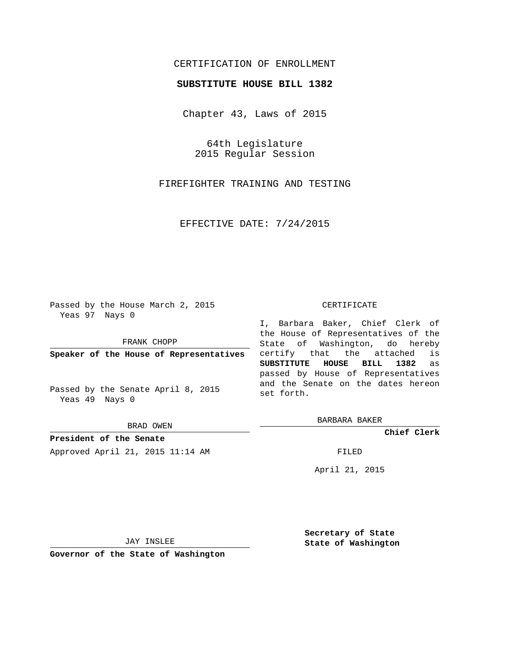## CERTIFICATION OF ENROLLMENT

## **SUBSTITUTE HOUSE BILL 1382**

Chapter 43, Laws of 2015

64th Legislature 2015 Regular Session

FIREFIGHTER TRAINING AND TESTING

EFFECTIVE DATE: 7/24/2015

Passed by the House March 2, 2015 Yeas 97 Nays 0

FRANK CHOPP

**Speaker of the House of Representatives**

Passed by the Senate April 8, 2015 Yeas 49 Nays 0

BRAD OWEN

**President of the Senate** Approved April 21, 2015 11:14 AM FILED

## CERTIFICATE

I, Barbara Baker, Chief Clerk of the House of Representatives of the State of Washington, do hereby certify that the attached is **SUBSTITUTE HOUSE BILL 1382** as passed by House of Representatives and the Senate on the dates hereon set forth.

BARBARA BAKER

**Chief Clerk**

April 21, 2015

JAY INSLEE

**Governor of the State of Washington**

**Secretary of State State of Washington**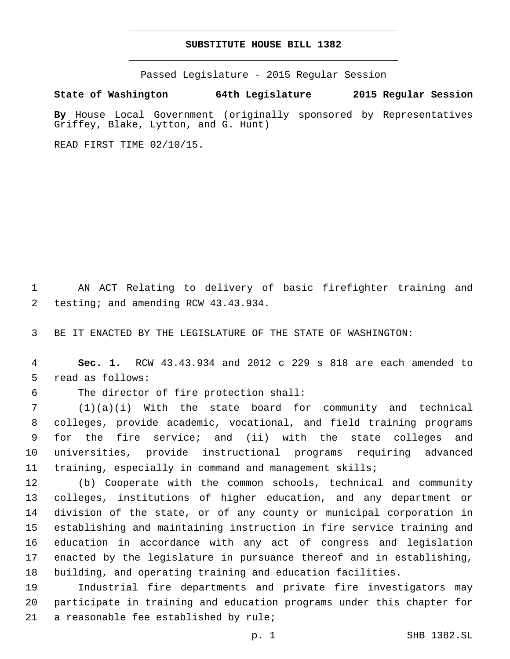## **SUBSTITUTE HOUSE BILL 1382**

Passed Legislature - 2015 Regular Session

**State of Washington 64th Legislature 2015 Regular Session**

**By** House Local Government (originally sponsored by Representatives Griffey, Blake, Lytton, and G. Hunt)

READ FIRST TIME 02/10/15.

 AN ACT Relating to delivery of basic firefighter training and 2 testing; and amending RCW 43.43.934.

BE IT ENACTED BY THE LEGISLATURE OF THE STATE OF WASHINGTON:

 **Sec. 1.** RCW 43.43.934 and 2012 c 229 s 818 are each amended to 5 read as follows:

6 The director of fire protection shall:

 (1)(a)(i) With the state board for community and technical colleges, provide academic, vocational, and field training programs for the fire service; and (ii) with the state colleges and universities, provide instructional programs requiring advanced training, especially in command and management skills;

 (b) Cooperate with the common schools, technical and community colleges, institutions of higher education, and any department or division of the state, or of any county or municipal corporation in establishing and maintaining instruction in fire service training and education in accordance with any act of congress and legislation enacted by the legislature in pursuance thereof and in establishing, building, and operating training and education facilities.

 Industrial fire departments and private fire investigators may participate in training and education programs under this chapter for 21 a reasonable fee established by rule;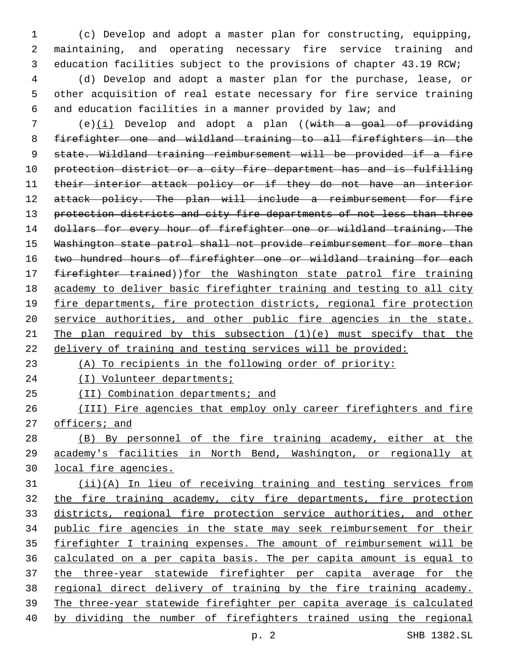(c) Develop and adopt a master plan for constructing, equipping, maintaining, and operating necessary fire service training and education facilities subject to the provisions of chapter 43.19 RCW;

 (d) Develop and adopt a master plan for the purchase, lease, or other acquisition of real estate necessary for fire service training and education facilities in a manner provided by law; and

 (e)(i) Develop and adopt a plan ((with a goal of providing firefighter one and wildland training to all firefighters in the 9 state. Wildland training reimbursement will be provided if a fire protection district or a city fire department has and is fulfilling their interior attack policy or if they do not have an interior 12 attack policy. The plan will include a reimbursement for fire 13 protection districts and city fire departments of not less than three 14 dollars for every hour of firefighter one or wildland training. The Washington state patrol shall not provide reimbursement for more than 16 two hundred hours of firefighter one or wildland training for each 17 firefighter trained))for the Washington state patrol fire training academy to deliver basic firefighter training and testing to all city fire departments, fire protection districts, regional fire protection service authorities, and other public fire agencies in the state. 21 The plan required by this subsection  $(1)(e)$  must specify that the 22 delivery of training and testing services will be provided:

(A) To recipients in the following order of priority:

(I) Volunteer departments;

25 (II) Combination departments; and

 (III) Fire agencies that employ only career firefighters and fire 27 officers; and

 (B) By personnel of the fire training academy, either at the academy's facilities in North Bend, Washington, or regionally at local fire agencies.

 (ii)(A) In lieu of receiving training and testing services from the fire training academy, city fire departments, fire protection districts, regional fire protection service authorities, and other public fire agencies in the state may seek reimbursement for their firefighter I training expenses. The amount of reimbursement will be calculated on a per capita basis. The per capita amount is equal to the three-year statewide firefighter per capita average for the regional direct delivery of training by the fire training academy. The three-year statewide firefighter per capita average is calculated by dividing the number of firefighters trained using the regional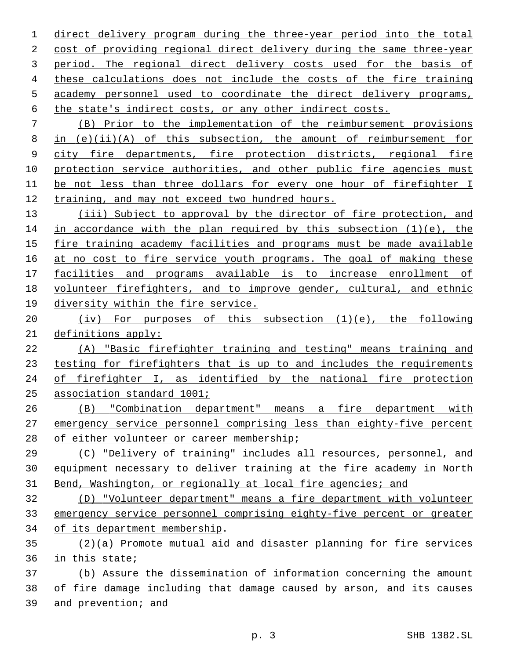direct delivery program during the three-year period into the total cost of providing regional direct delivery during the same three-year period. The regional direct delivery costs used for the basis of these calculations does not include the costs of the fire training academy personnel used to coordinate the direct delivery programs, the state's indirect costs, or any other indirect costs.

 (B) Prior to the implementation of the reimbursement provisions in (e)(ii)(A) of this subsection, the amount of reimbursement for city fire departments, fire protection districts, regional fire 10 protection service authorities, and other public fire agencies must be not less than three dollars for every one hour of firefighter I training, and may not exceed two hundred hours.

 (iii) Subject to approval by the director of fire protection, and 14 in accordance with the plan required by this subsection  $(1)(e)$ , the fire training academy facilities and programs must be made available 16 at no cost to fire service youth programs. The goal of making these facilities and programs available is to increase enrollment of volunteer firefighters, and to improve gender, cultural, and ethnic diversity within the fire service.

 (iv) For purposes of this subsection (1)(e), the following definitions apply:

 (A) "Basic firefighter training and testing" means training and testing for firefighters that is up to and includes the requirements of firefighter I, as identified by the national fire protection association standard 1001;

 (B) "Combination department" means a fire department with emergency service personnel comprising less than eighty-five percent 28 of either volunteer or career membership;

 (C) "Delivery of training" includes all resources, personnel, and equipment necessary to deliver training at the fire academy in North 31 Bend, Washington, or regionally at local fire agencies; and

 (D) "Volunteer department" means a fire department with volunteer emergency service personnel comprising eighty-five percent or greater 34 of its department membership.

 (2)(a) Promote mutual aid and disaster planning for fire services 36 in this state;

 (b) Assure the dissemination of information concerning the amount of fire damage including that damage caused by arson, and its causes 39 and prevention; and